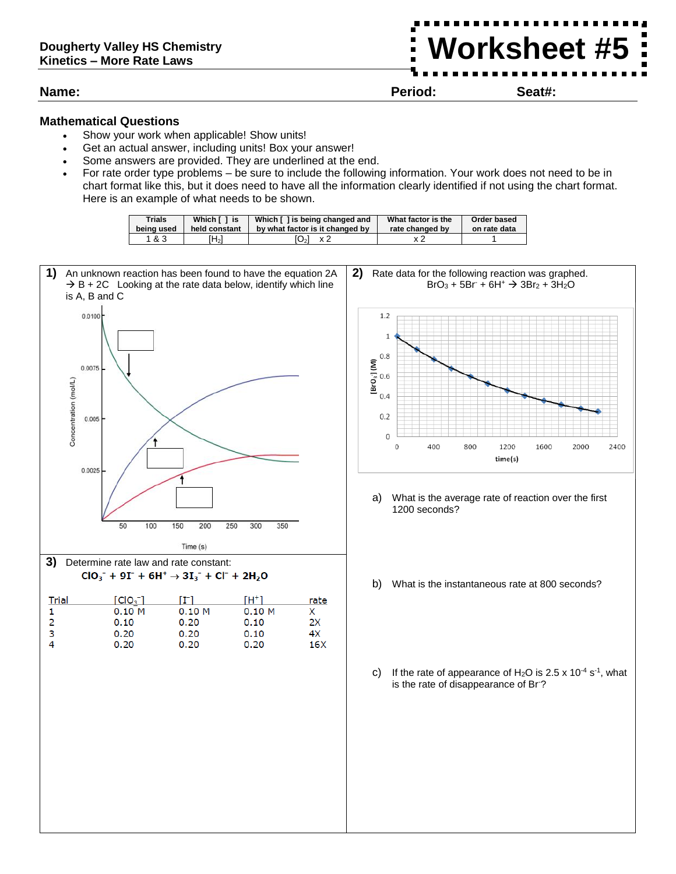**Name: Period: Seat#:**

**Worksheet #5**

## **Mathematical Questions**

- Show your work when applicable! Show units!
- Get an actual answer, including units! Box your answer!
- Some answers are provided. They are underlined at the end.
- For rate order type problems be sure to include the following information. Your work does not need to be in chart format like this, but it does need to have all the information clearly identified if not using the chart format. Here is an example of what needs to be shown.

| <b>Trials</b> | Which [ ] is  | Which [] is being changed and   | What factor is the | Order based  |
|---------------|---------------|---------------------------------|--------------------|--------------|
| being used    | held constant | by what factor is it changed by | rate changed by    | on rate data |
| 1&3           | Ή2Ι           | O <sub>2</sub><br>x 2           |                    |              |





- a) What is the average rate of reaction over the first
- b) What is the instantaneous rate at 800 seconds?
- c) If the rate of appearance of  $H_2O$  is 2.5 x 10<sup>-4</sup> s<sup>-1</sup>, what is the rate of disappearance of Br-?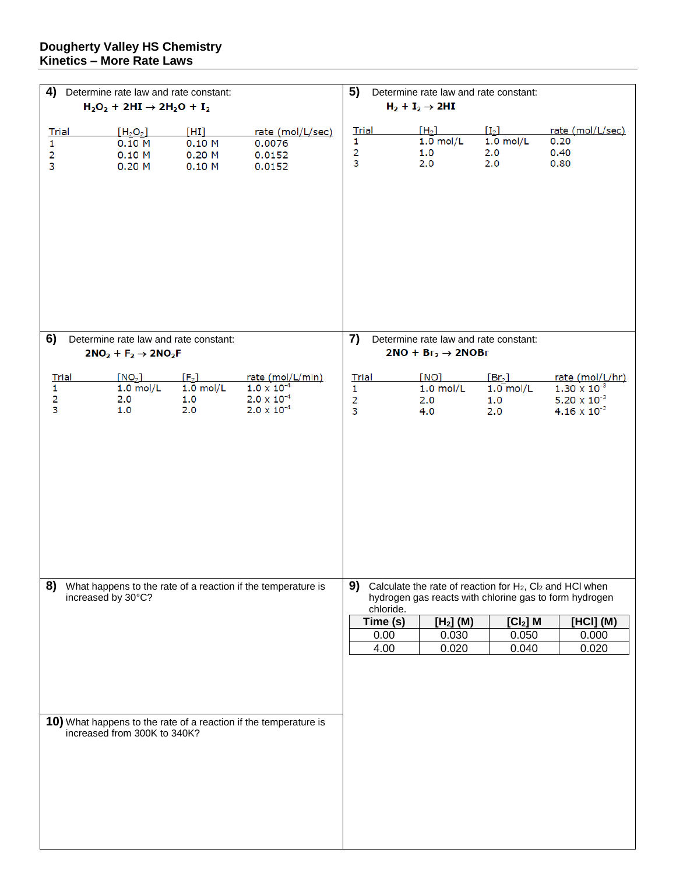## **Dougherty Valley HS Chemistry Kinetics – More Rate Laws**

| 4)<br>Determine rate law and rate constant:                                              |                                                 |                                      | 5)<br>Determine rate law and rate constant:                                              |                                                                     |                                       |                                                 |                                                                                            |  |
|------------------------------------------------------------------------------------------|-------------------------------------------------|--------------------------------------|------------------------------------------------------------------------------------------|---------------------------------------------------------------------|---------------------------------------|-------------------------------------------------|--------------------------------------------------------------------------------------------|--|
| $H_2O_2 + 2HI \rightarrow 2H_2O + I_2$                                                   |                                                 |                                      | $H_2 + I_2 \rightarrow 2HI$                                                              |                                                                     |                                       |                                                 |                                                                                            |  |
| <b>Trial</b><br>1<br>2<br>3                                                              | $[H_2O_2]$<br>0.10 M<br>0.10 M<br>0.20M         | [HH]<br>0.10 M<br>$0.20$ M<br>0.10 M | rate (mol/L/sec)<br>0.0076<br>0.0152<br>0.0152                                           | <b>Trial</b><br>1<br>$\overline{c}$<br>3                            | $[H_2]$<br>$1.0$ mol/L<br>1.0<br>2.0  | $[I_2]$<br>$1.0$ mol/L<br>2.0<br>2.0            | rate (mol/L/sec)<br>0.20<br>0.40<br>0.80                                                   |  |
| 6)                                                                                       | Determine rate law and rate constant:           |                                      |                                                                                          | 7)                                                                  | Determine rate law and rate constant: |                                                 |                                                                                            |  |
|                                                                                          | $2NO2 + F2 \rightarrow 2NO2F$                   |                                      |                                                                                          | $2NO + Br2 \rightarrow 2NOBr$                                       |                                       |                                                 |                                                                                            |  |
| <b>Trial</b><br>1.<br>2<br>3                                                             | [NO <sub>2</sub> ]<br>$1.0$ mol/L<br>2.0<br>1.0 | $[F_2]$<br>$1.0$ mol/L<br>1.0<br>2.0 | rate (mol/L/min)<br>$1.0 \times 10^{-4}$<br>$2.0 \times 10^{-4}$<br>$2.0 \times 10^{-4}$ | <b>Trial</b><br>1<br>2<br>3                                         | [NO]<br>$1.0$ mol/L<br>2.0<br>4.0     | [Br <sub>2</sub> ]<br>$1.0$ mol/L<br>1.0<br>2.0 | rate (mol/L/hr)<br>$1.30 \times 10^{-3}$<br>$5.20 \times 10^{-3}$<br>$4.16 \times 10^{-2}$ |  |
| 8)<br>What happens to the rate of a reaction if the temperature is<br>increased by 30°C? |                                                 |                                      | 9)<br>Calculate the rate of reaction for H <sub>2</sub> , Cl <sub>2</sub> and HCl when   |                                                                     |                                       |                                                 |                                                                                            |  |
|                                                                                          |                                                 |                                      |                                                                                          | hydrogen gas reacts with chlorine gas to form hydrogen<br>chloride. |                                       |                                                 |                                                                                            |  |
|                                                                                          |                                                 |                                      |                                                                                          | Time (s)                                                            | [H <sub>2</sub> ] (M)                 | $[Cl2]$ M                                       | [HCI] (M)                                                                                  |  |
|                                                                                          |                                                 |                                      |                                                                                          | 0.00<br>4.00                                                        | 0.030<br>0.020                        | 0.050<br>0.040                                  | 0.000<br>0.020                                                                             |  |
|                                                                                          | increased from 300K to 340K?                    |                                      | 10) What happens to the rate of a reaction if the temperature is                         |                                                                     |                                       |                                                 |                                                                                            |  |